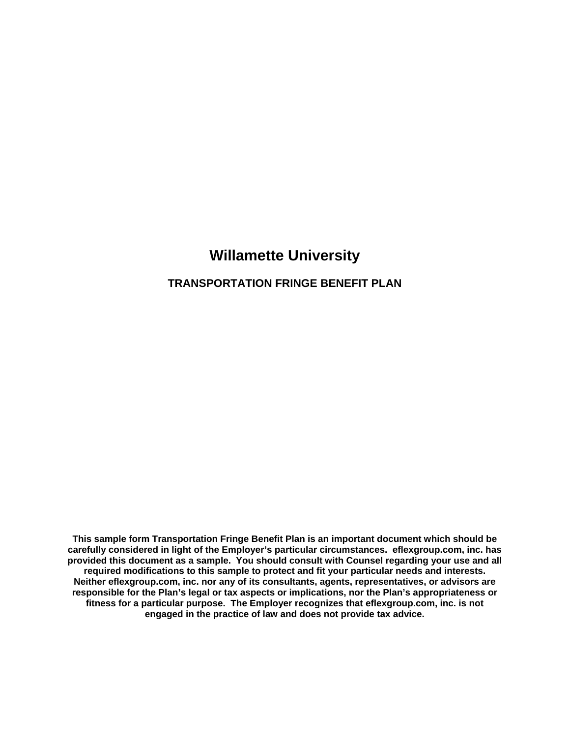# **Willamette University**

#### **TRANSPORTATION FRINGE BENEFIT PLAN**

**This sample form Transportation Fringe Benefit Plan is an important document which should be carefully considered in light of the Employer's particular circumstances. eflexgroup.com, inc. has provided this document as a sample. You should consult with Counsel regarding your use and all required modifications to this sample to protect and fit your particular needs and interests. Neither eflexgroup.com, inc. nor any of its consultants, agents, representatives, or advisors are responsible for the Plan's legal or tax aspects or implications, nor the Plan's appropriateness or fitness for a particular purpose. The Employer recognizes that eflexgroup.com, inc. is not engaged in the practice of law and does not provide tax advice.**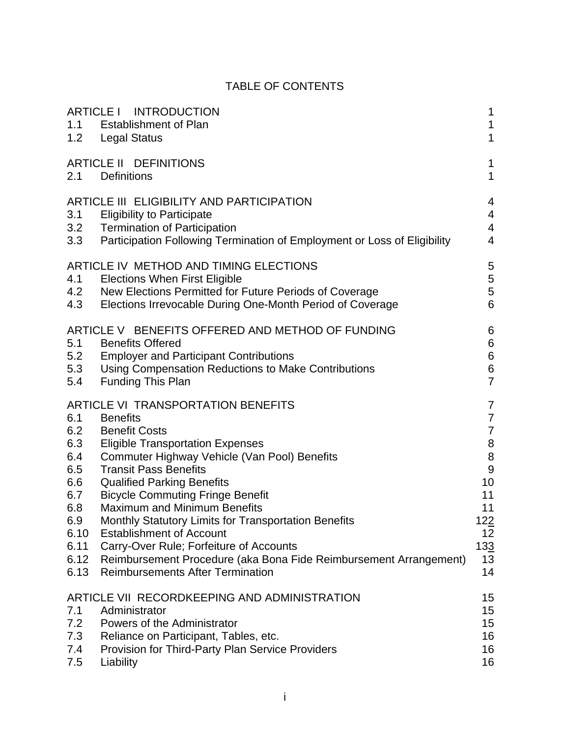# TABLE OF CONTENTS

| 1.1<br>1.2                                                                                  | ARTICLE I INTRODUCTION<br><b>Establishment of Plan</b><br>Legal Status                                                                                                                                                                                                                                                                                                                                                                                                                                                                                                                | 1<br>1<br>$\mathbf{1}$                                                                                                                                          |
|---------------------------------------------------------------------------------------------|---------------------------------------------------------------------------------------------------------------------------------------------------------------------------------------------------------------------------------------------------------------------------------------------------------------------------------------------------------------------------------------------------------------------------------------------------------------------------------------------------------------------------------------------------------------------------------------|-----------------------------------------------------------------------------------------------------------------------------------------------------------------|
| 2.1                                                                                         | ARTICLE II DEFINITIONS<br><b>Definitions</b>                                                                                                                                                                                                                                                                                                                                                                                                                                                                                                                                          | 1<br>$\mathbf{1}$                                                                                                                                               |
| 3.1<br>3.2<br>3.3                                                                           | ARTICLE III ELIGIBILITY AND PARTICIPATION<br><b>Eligibility to Participate</b><br><b>Termination of Participation</b><br>Participation Following Termination of Employment or Loss of Eligibility                                                                                                                                                                                                                                                                                                                                                                                     | 4<br>4<br>$\overline{4}$<br>$\overline{4}$                                                                                                                      |
| 4.1<br>4.2<br>4.3                                                                           | ARTICLE IV METHOD AND TIMING ELECTIONS<br><b>Elections When First Eligible</b><br>New Elections Permitted for Future Periods of Coverage<br>Elections Irrevocable During One-Month Period of Coverage                                                                                                                                                                                                                                                                                                                                                                                 | 5<br>5<br>$\mathbf 5$<br>6                                                                                                                                      |
| 5.1<br>5.2<br>5.3<br>5.4                                                                    | ARTICLE V BENEFITS OFFERED AND METHOD OF FUNDING<br><b>Benefits Offered</b><br><b>Employer and Participant Contributions</b><br>Using Compensation Reductions to Make Contributions<br><b>Funding This Plan</b>                                                                                                                                                                                                                                                                                                                                                                       | 6<br>$\,6$<br>$\,6$<br>$\,6$<br>$\overline{7}$                                                                                                                  |
| 6.1<br>6.2<br>6.3<br>6.4<br>6.5<br>6.6<br>6.7<br>6.8<br>6.9<br>6.10<br>6.11<br>6.12<br>6.13 | ARTICLE VI TRANSPORTATION BENEFITS<br><b>Benefits</b><br><b>Benefit Costs</b><br><b>Eligible Transportation Expenses</b><br>Commuter Highway Vehicle (Van Pool) Benefits<br><b>Transit Pass Benefits</b><br><b>Qualified Parking Benefits</b><br><b>Bicycle Commuting Fringe Benefit</b><br><b>Maximum and Minimum Benefits</b><br>Monthly Statutory Limits for Transportation Benefits<br><b>Establishment of Account</b><br>Carry-Over Rule; Forfeiture of Accounts<br>Reimbursement Procedure (aka Bona Fide Reimbursement Arrangement)<br><b>Reimbursements After Termination</b> | 7<br>$\overline{7}$<br>$\overline{7}$<br>$\begin{array}{c} 8 \\ 8 \end{array}$<br>$\overline{9}$<br>10<br>11<br>11<br>122<br>12 <sub>2</sub><br>133<br>13<br>14 |
| 7.1<br>7.2<br>7.3<br>7.4<br>7.5                                                             | ARTICLE VII RECORDKEEPING AND ADMINISTRATION<br>Administrator<br>Powers of the Administrator<br>Reliance on Participant, Tables, etc.<br>Provision for Third-Party Plan Service Providers<br>Liability                                                                                                                                                                                                                                                                                                                                                                                | 15<br>15<br>15<br>16<br>16<br>16                                                                                                                                |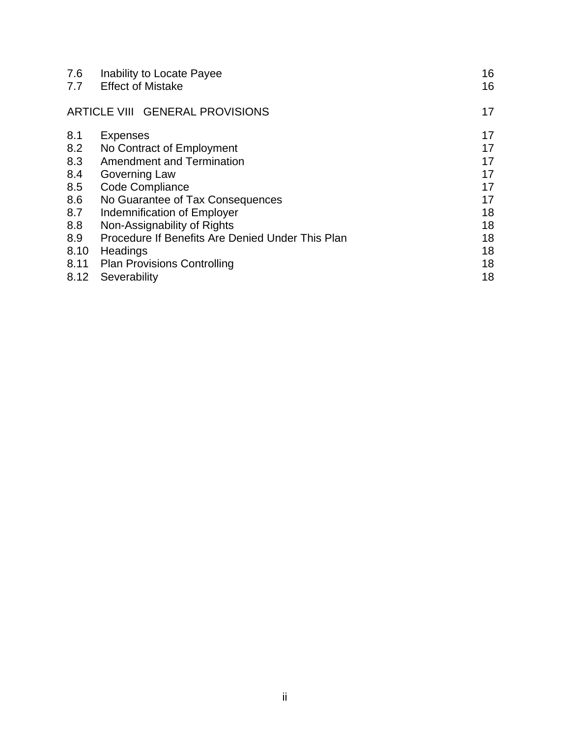| 7.6<br>7.7 | Inability to Locate Payee<br><b>Effect of Mistake</b> | 16<br>16 |
|------------|-------------------------------------------------------|----------|
|            | ARTICLE VIII GENERAL PROVISIONS                       | 17       |
| 8.1        | <b>Expenses</b>                                       | 17       |
| 8.2        | No Contract of Employment                             | 17       |
| 8.3        | <b>Amendment and Termination</b>                      | 17       |
| 8.4        | Governing Law                                         | 17       |
| 8.5        | Code Compliance                                       | 17       |
| 8.6        | No Guarantee of Tax Consequences                      | 17       |
| 8.7        | Indemnification of Employer                           | 18       |
| 8.8        | Non-Assignability of Rights                           | 18       |
| 8.9        | Procedure If Benefits Are Denied Under This Plan      | 18       |
| 8.10       | Headings                                              | 18       |
| 8.11       | <b>Plan Provisions Controlling</b>                    | 18       |
| 8.12       | Severability                                          | 18       |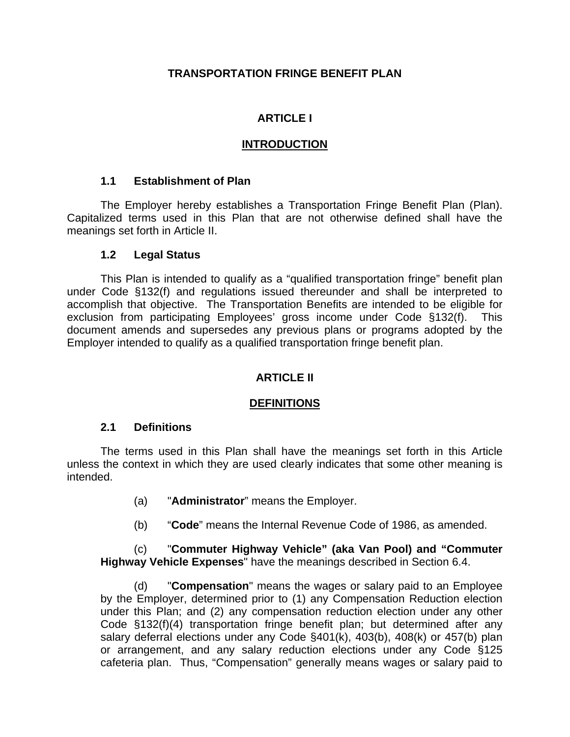#### **TRANSPORTATION FRINGE BENEFIT PLAN**

## **ARTICLE I**

#### **INTRODUCTION**

#### **1.1 Establishment of Plan**

The Employer hereby establishes a Transportation Fringe Benefit Plan (Plan). Capitalized terms used in this Plan that are not otherwise defined shall have the meanings set forth in Article II.

#### **1.2 Legal Status**

This Plan is intended to qualify as a "qualified transportation fringe" benefit plan under Code §132(f) and regulations issued thereunder and shall be interpreted to accomplish that objective. The Transportation Benefits are intended to be eligible for exclusion from participating Employees' gross income under Code §132(f). This document amends and supersedes any previous plans or programs adopted by the Employer intended to qualify as a qualified transportation fringe benefit plan.

## **ARTICLE II**

## **DEFINITIONS**

#### **2.1 Definitions**

The terms used in this Plan shall have the meanings set forth in this Article unless the context in which they are used clearly indicates that some other meaning is intended.

- (a) "**Administrator**" means the Employer.
- (b) "**Code**" means the Internal Revenue Code of 1986, as amended.

#### (c) "**Commuter Highway Vehicle" (aka Van Pool) and "Commuter Highway Vehicle Expenses**" have the meanings described in Section 6.4.

(d) "**Compensation**" means the wages or salary paid to an Employee by the Employer, determined prior to (1) any Compensation Reduction election under this Plan; and (2) any compensation reduction election under any other Code §132(f)(4) transportation fringe benefit plan; but determined after any salary deferral elections under any Code §401(k), 403(b), 408(k) or 457(b) plan or arrangement, and any salary reduction elections under any Code §125 cafeteria plan. Thus, "Compensation" generally means wages or salary paid to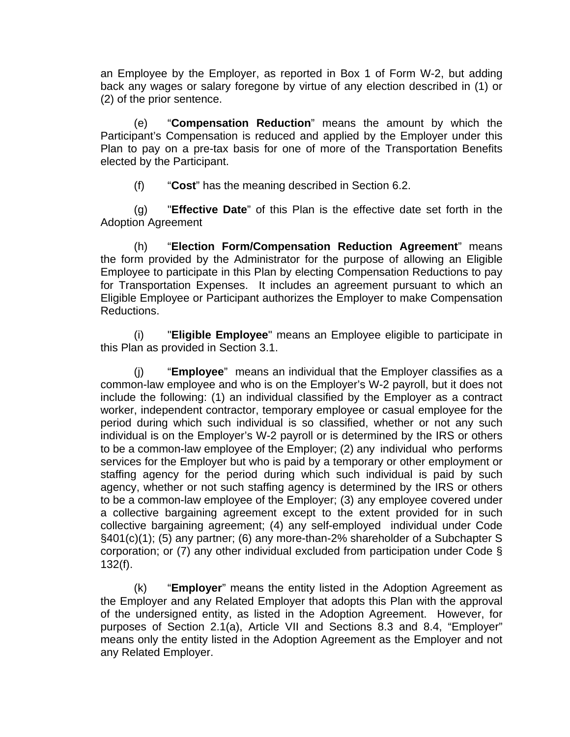an Employee by the Employer, as reported in Box 1 of Form W-2, but adding back any wages or salary foregone by virtue of any election described in (1) or (2) of the prior sentence.

 (e) "**Compensation Reduction**" means the amount by which the Participant's Compensation is reduced and applied by the Employer under this Plan to pay on a pre-tax basis for one of more of the Transportation Benefits elected by the Participant.

(f) "**Cost**" has the meaning described in Section 6.2.

(g) "**Effective Date**" of this Plan is the effective date set forth in the Adoption Agreement

(h) "**Election Form/Compensation Reduction Agreement**" means the form provided by the Administrator for the purpose of allowing an Eligible Employee to participate in this Plan by electing Compensation Reductions to pay for Transportation Expenses. It includes an agreement pursuant to which an Eligible Employee or Participant authorizes the Employer to make Compensation Reductions.

(i) "**Eligible Employee**" means an Employee eligible to participate in this Plan as provided in Section 3.1.

(j) "**Employee**" means an individual that the Employer classifies as a common-law employee and who is on the Employer's W-2 payroll, but it does not include the following: (1) an individual classified by the Employer as a contract worker, independent contractor, temporary employee or casual employee for the period during which such individual is so classified, whether or not any such individual is on the Employer's W-2 payroll or is determined by the IRS or others to be a common-law employee of the Employer; (2) any individual who performs services for the Employer but who is paid by a temporary or other employment or staffing agency for the period during which such individual is paid by such agency, whether or not such staffing agency is determined by the IRS or others to be a common-law employee of the Employer; (3) any employee covered under a collective bargaining agreement except to the extent provided for in such collective bargaining agreement; (4) any self-employed individual under Code §401(c)(1); (5) any partner; (6) any more-than-2% shareholder of a Subchapter S corporation; or (7) any other individual excluded from participation under Code § 132(f).

(k) "**Employer**" means the entity listed in the Adoption Agreement as the Employer and any Related Employer that adopts this Plan with the approval of the undersigned entity, as listed in the Adoption Agreement. However, for purposes of Section 2.1(a), Article VII and Sections 8.3 and 8.4, "Employer" means only the entity listed in the Adoption Agreement as the Employer and not any Related Employer.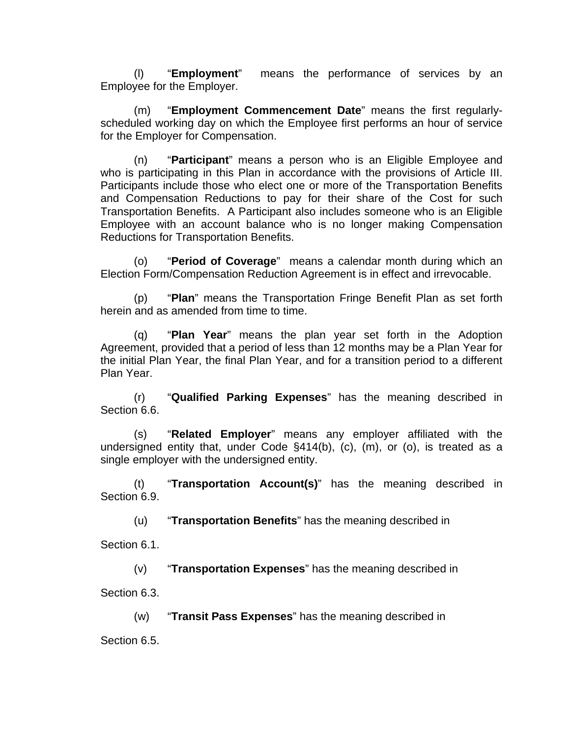(l) "**Employment**" means the performance of services by an Employee for the Employer.

(m) "**Employment Commencement Date**" means the first regularlyscheduled working day on which the Employee first performs an hour of service for the Employer for Compensation.

(n) "**Participant**" means a person who is an Eligible Employee and who is participating in this Plan in accordance with the provisions of Article III. Participants include those who elect one or more of the Transportation Benefits and Compensation Reductions to pay for their share of the Cost for such Transportation Benefits. A Participant also includes someone who is an Eligible Employee with an account balance who is no longer making Compensation Reductions for Transportation Benefits.

(o) "**Period of Coverage**" means a calendar month during which an Election Form/Compensation Reduction Agreement is in effect and irrevocable.

(p) "**Plan**" means the Transportation Fringe Benefit Plan as set forth herein and as amended from time to time.

(q) "**Plan Year**" means the plan year set forth in the Adoption Agreement, provided that a period of less than 12 months may be a Plan Year for the initial Plan Year, the final Plan Year, and for a transition period to a different Plan Year.

(r) "**Qualified Parking Expenses**" has the meaning described in Section 6.6.

(s) "**Related Employer**" means any employer affiliated with the undersigned entity that, under Code §414(b), (c), (m), or (o), is treated as a single employer with the undersigned entity.

(t) "**Transportation Account(s)**" has the meaning described in Section 6.9.

(u) "**Transportation Benefits**" has the meaning described in

Section 6.1.

(v) "**Transportation Expenses**" has the meaning described in

Section 6.3.

(w) "**Transit Pass Expenses**" has the meaning described in

Section 6.5.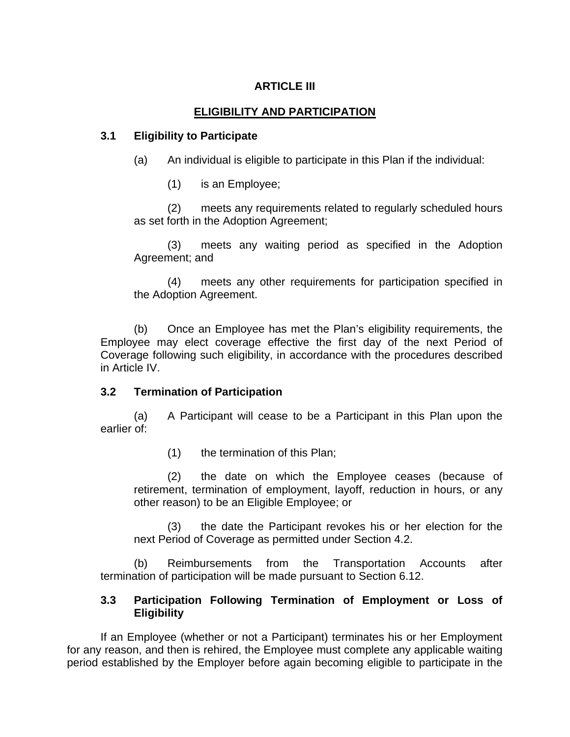## **ARTICLE III**

#### **ELIGIBILITY AND PARTICIPATION**

#### **3.1 Eligibility to Participate**

(a) An individual is eligible to participate in this Plan if the individual:

(1) is an Employee;

(2) meets any requirements related to regularly scheduled hours as set forth in the Adoption Agreement;

(3) meets any waiting period as specified in the Adoption Agreement; and

(4) meets any other requirements for participation specified in the Adoption Agreement.

(b) Once an Employee has met the Plan's eligibility requirements, the Employee may elect coverage effective the first day of the next Period of Coverage following such eligibility, in accordance with the procedures described in Article IV.

#### **3.2 Termination of Participation**

(a) A Participant will cease to be a Participant in this Plan upon the earlier of:

(1) the termination of this Plan;

(2) the date on which the Employee ceases (because of retirement, termination of employment, layoff, reduction in hours, or any other reason) to be an Eligible Employee; or

(3) the date the Participant revokes his or her election for the next Period of Coverage as permitted under Section 4.2.

(b) Reimbursements from the Transportation Accounts after termination of participation will be made pursuant to Section 6.12.

#### **3.3 Participation Following Termination of Employment or Loss of Eligibility**

If an Employee (whether or not a Participant) terminates his or her Employment for any reason, and then is rehired, the Employee must complete any applicable waiting period established by the Employer before again becoming eligible to participate in the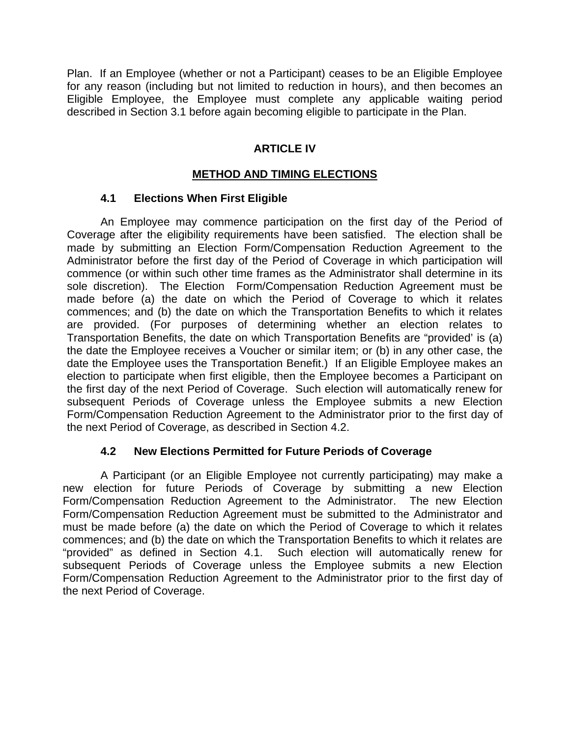Plan. If an Employee (whether or not a Participant) ceases to be an Eligible Employee for any reason (including but not limited to reduction in hours), and then becomes an Eligible Employee, the Employee must complete any applicable waiting period described in Section 3.1 before again becoming eligible to participate in the Plan.

#### **ARTICLE IV**

#### **METHOD AND TIMING ELECTIONS**

#### **4.1 Elections When First Eligible**

An Employee may commence participation on the first day of the Period of Coverage after the eligibility requirements have been satisfied. The election shall be made by submitting an Election Form/Compensation Reduction Agreement to the Administrator before the first day of the Period of Coverage in which participation will commence (or within such other time frames as the Administrator shall determine in its sole discretion). The Election Form/Compensation Reduction Agreement must be made before (a) the date on which the Period of Coverage to which it relates commences; and (b) the date on which the Transportation Benefits to which it relates are provided. (For purposes of determining whether an election relates to Transportation Benefits, the date on which Transportation Benefits are "provided' is (a) the date the Employee receives a Voucher or similar item; or (b) in any other case, the date the Employee uses the Transportation Benefit.) If an Eligible Employee makes an election to participate when first eligible, then the Employee becomes a Participant on the first day of the next Period of Coverage. Such election will automatically renew for subsequent Periods of Coverage unless the Employee submits a new Election Form/Compensation Reduction Agreement to the Administrator prior to the first day of the next Period of Coverage, as described in Section 4.2.

#### **4.2 New Elections Permitted for Future Periods of Coverage**

A Participant (or an Eligible Employee not currently participating) may make a new election for future Periods of Coverage by submitting a new Election Form/Compensation Reduction Agreement to the Administrator. The new Election Form/Compensation Reduction Agreement must be submitted to the Administrator and must be made before (a) the date on which the Period of Coverage to which it relates commences; and (b) the date on which the Transportation Benefits to which it relates are "provided" as defined in Section 4.1. Such election will automatically renew for subsequent Periods of Coverage unless the Employee submits a new Election Form/Compensation Reduction Agreement to the Administrator prior to the first day of the next Period of Coverage.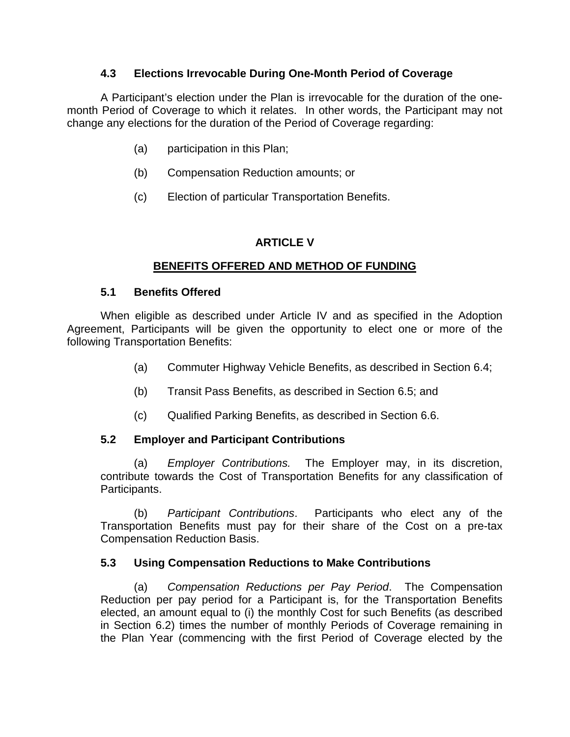#### **4.3 Elections Irrevocable During One-Month Period of Coverage**

A Participant's election under the Plan is irrevocable for the duration of the onemonth Period of Coverage to which it relates. In other words, the Participant may not change any elections for the duration of the Period of Coverage regarding:

- (a) participation in this Plan;
- (b) Compensation Reduction amounts; or
- (c) Election of particular Transportation Benefits.

## **ARTICLE V**

## **BENEFITS OFFERED AND METHOD OF FUNDING**

## **5.1 Benefits Offered**

When eligible as described under Article IV and as specified in the Adoption Agreement, Participants will be given the opportunity to elect one or more of the following Transportation Benefits:

- (a) Commuter Highway Vehicle Benefits, as described in Section 6.4;
- (b) Transit Pass Benefits, as described in Section 6.5; and
- (c) Qualified Parking Benefits, as described in Section 6.6.

## **5.2 Employer and Participant Contributions**

(a) *Employer Contributions.* The Employer may, in its discretion, contribute towards the Cost of Transportation Benefits for any classification of Participants.

(b) *Participant Contributions*. Participants who elect any of the Transportation Benefits must pay for their share of the Cost on a pre-tax Compensation Reduction Basis.

## **5.3 Using Compensation Reductions to Make Contributions**

(a) *Compensation Reductions per Pay Period*. The Compensation Reduction per pay period for a Participant is, for the Transportation Benefits elected, an amount equal to (i) the monthly Cost for such Benefits (as described in Section 6.2) times the number of monthly Periods of Coverage remaining in the Plan Year (commencing with the first Period of Coverage elected by the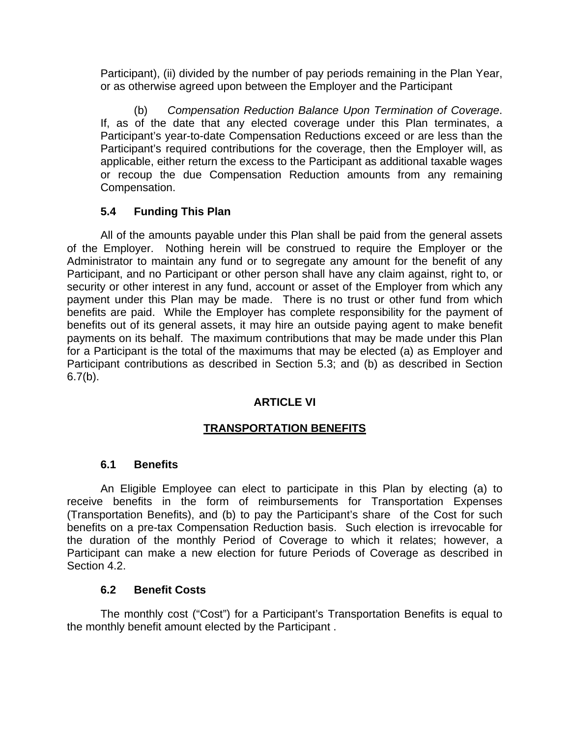Participant), (ii) divided by the number of pay periods remaining in the Plan Year, or as otherwise agreed upon between the Employer and the Participant

(b) *Compensation Reduction Balance Upon Termination of Coverage*. If, as of the date that any elected coverage under this Plan terminates, a Participant's year-to-date Compensation Reductions exceed or are less than the Participant's required contributions for the coverage, then the Employer will, as applicable, either return the excess to the Participant as additional taxable wages or recoup the due Compensation Reduction amounts from any remaining Compensation.

## **5.4 Funding This Plan**

All of the amounts payable under this Plan shall be paid from the general assets of the Employer. Nothing herein will be construed to require the Employer or the Administrator to maintain any fund or to segregate any amount for the benefit of any Participant, and no Participant or other person shall have any claim against, right to, or security or other interest in any fund, account or asset of the Employer from which any payment under this Plan may be made. There is no trust or other fund from which benefits are paid. While the Employer has complete responsibility for the payment of benefits out of its general assets, it may hire an outside paying agent to make benefit payments on its behalf. The maximum contributions that may be made under this Plan for a Participant is the total of the maximums that may be elected (a) as Employer and Participant contributions as described in Section 5.3; and (b) as described in Section  $6.7(b)$ .

## **ARTICLE VI**

## **TRANSPORTATION BENEFITS**

## **6.1 Benefits**

An Eligible Employee can elect to participate in this Plan by electing (a) to receive benefits in the form of reimbursements for Transportation Expenses (Transportation Benefits), and (b) to pay the Participant's share of the Cost for such benefits on a pre-tax Compensation Reduction basis. Such election is irrevocable for the duration of the monthly Period of Coverage to which it relates; however, a Participant can make a new election for future Periods of Coverage as described in Section 4.2.

#### **6.2 Benefit Costs**

The monthly cost ("Cost") for a Participant's Transportation Benefits is equal to the monthly benefit amount elected by the Participant .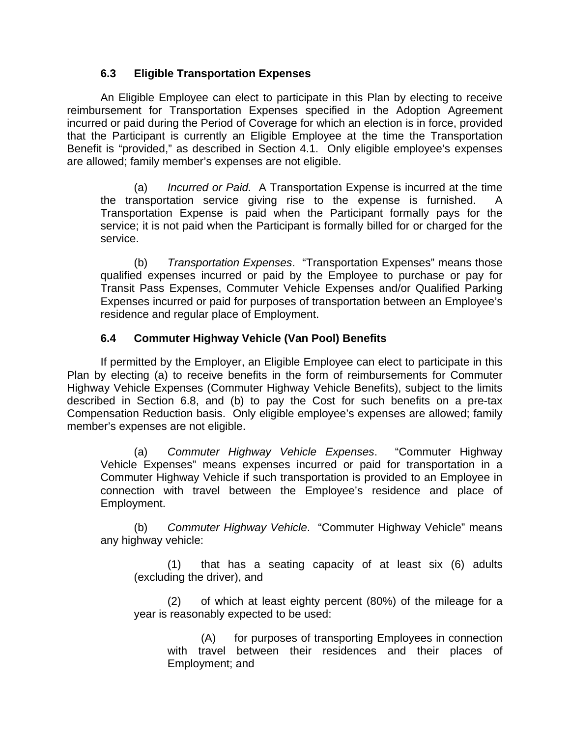## **6.3 Eligible Transportation Expenses**

An Eligible Employee can elect to participate in this Plan by electing to receive reimbursement for Transportation Expenses specified in the Adoption Agreement incurred or paid during the Period of Coverage for which an election is in force, provided that the Participant is currently an Eligible Employee at the time the Transportation Benefit is "provided," as described in Section 4.1. Only eligible employee's expenses are allowed; family member's expenses are not eligible.

(a) *Incurred or Paid.* A Transportation Expense is incurred at the time the transportation service giving rise to the expense is furnished. A Transportation Expense is paid when the Participant formally pays for the service; it is not paid when the Participant is formally billed for or charged for the service.

(b) *Transportation Expenses*. "Transportation Expenses" means those qualified expenses incurred or paid by the Employee to purchase or pay for Transit Pass Expenses, Commuter Vehicle Expenses and/or Qualified Parking Expenses incurred or paid for purposes of transportation between an Employee's residence and regular place of Employment.

#### **6.4 Commuter Highway Vehicle (Van Pool) Benefits**

If permitted by the Employer, an Eligible Employee can elect to participate in this Plan by electing (a) to receive benefits in the form of reimbursements for Commuter Highway Vehicle Expenses (Commuter Highway Vehicle Benefits), subject to the limits described in Section 6.8, and (b) to pay the Cost for such benefits on a pre-tax Compensation Reduction basis. Only eligible employee's expenses are allowed; family member's expenses are not eligible.

(a) *Commuter Highway Vehicle Expenses*. "Commuter Highway Vehicle Expenses" means expenses incurred or paid for transportation in a Commuter Highway Vehicle if such transportation is provided to an Employee in connection with travel between the Employee's residence and place of Employment.

(b) *Commuter Highway Vehicle*. "Commuter Highway Vehicle" means any highway vehicle:

(1) that has a seating capacity of at least six (6) adults (excluding the driver), and

(2) of which at least eighty percent (80%) of the mileage for a year is reasonably expected to be used:

(A) for purposes of transporting Employees in connection with travel between their residences and their places of Employment; and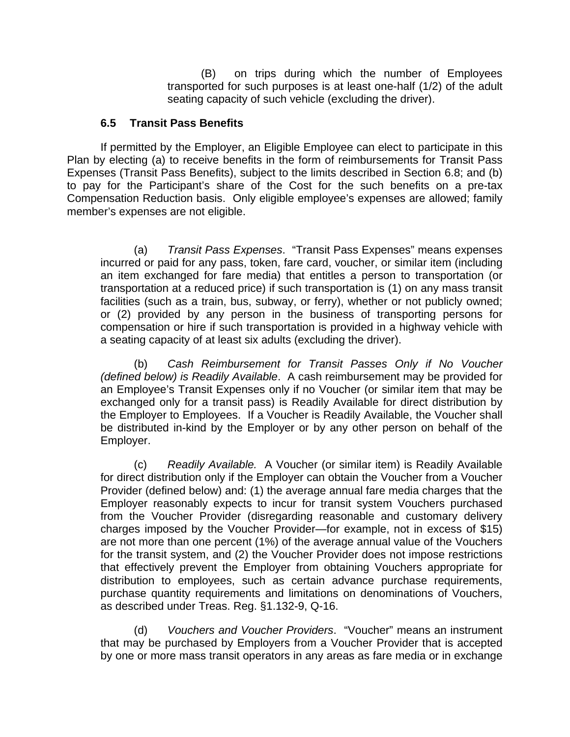(B) on trips during which the number of Employees transported for such purposes is at least one-half (1/2) of the adult seating capacity of such vehicle (excluding the driver).

#### **6.5 Transit Pass Benefits**

If permitted by the Employer, an Eligible Employee can elect to participate in this Plan by electing (a) to receive benefits in the form of reimbursements for Transit Pass Expenses (Transit Pass Benefits), subject to the limits described in Section 6.8; and (b) to pay for the Participant's share of the Cost for the such benefits on a pre-tax Compensation Reduction basis. Only eligible employee's expenses are allowed; family member's expenses are not eligible.

(a) *Transit Pass Expenses*. "Transit Pass Expenses" means expenses incurred or paid for any pass, token, fare card, voucher, or similar item (including an item exchanged for fare media) that entitles a person to transportation (or transportation at a reduced price) if such transportation is (1) on any mass transit facilities (such as a train, bus, subway, or ferry), whether or not publicly owned; or (2) provided by any person in the business of transporting persons for compensation or hire if such transportation is provided in a highway vehicle with a seating capacity of at least six adults (excluding the driver).

(b) *Cash Reimbursement for Transit Passes Only if No Voucher (defined below) is Readily Available*. A cash reimbursement may be provided for an Employee's Transit Expenses only if no Voucher (or similar item that may be exchanged only for a transit pass) is Readily Available for direct distribution by the Employer to Employees. If a Voucher is Readily Available, the Voucher shall be distributed in-kind by the Employer or by any other person on behalf of the Employer.

(c) *Readily Available.* A Voucher (or similar item) is Readily Available for direct distribution only if the Employer can obtain the Voucher from a Voucher Provider (defined below) and: (1) the average annual fare media charges that the Employer reasonably expects to incur for transit system Vouchers purchased from the Voucher Provider (disregarding reasonable and customary delivery charges imposed by the Voucher Provider—for example, not in excess of \$15) are not more than one percent (1%) of the average annual value of the Vouchers for the transit system, and (2) the Voucher Provider does not impose restrictions that effectively prevent the Employer from obtaining Vouchers appropriate for distribution to employees, such as certain advance purchase requirements, purchase quantity requirements and limitations on denominations of Vouchers, as described under Treas. Reg. §1.132-9, Q-16.

(d) *Vouchers and Voucher Providers*. "Voucher" means an instrument that may be purchased by Employers from a Voucher Provider that is accepted by one or more mass transit operators in any areas as fare media or in exchange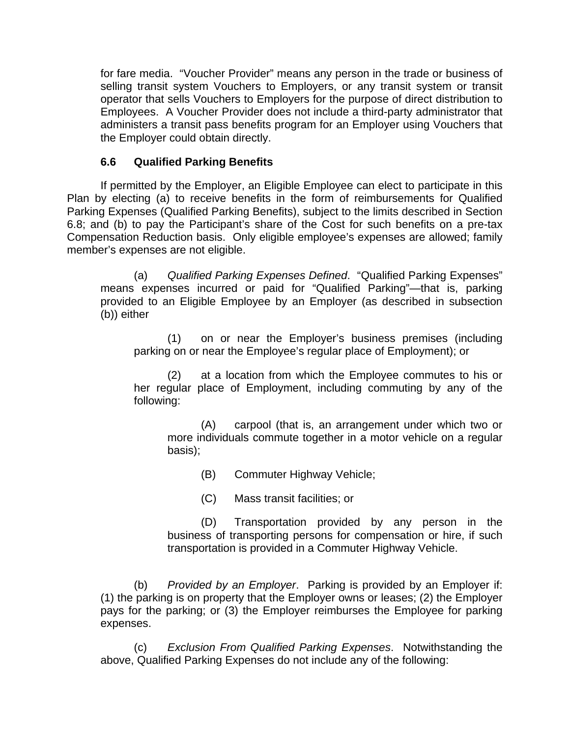for fare media. "Voucher Provider" means any person in the trade or business of selling transit system Vouchers to Employers, or any transit system or transit operator that sells Vouchers to Employers for the purpose of direct distribution to Employees. A Voucher Provider does not include a third-party administrator that administers a transit pass benefits program for an Employer using Vouchers that the Employer could obtain directly.

## **6.6 Qualified Parking Benefits**

If permitted by the Employer, an Eligible Employee can elect to participate in this Plan by electing (a) to receive benefits in the form of reimbursements for Qualified Parking Expenses (Qualified Parking Benefits), subject to the limits described in Section 6.8; and (b) to pay the Participant's share of the Cost for such benefits on a pre-tax Compensation Reduction basis. Only eligible employee's expenses are allowed; family member's expenses are not eligible.

(a) *Qualified Parking Expenses Defined*. "Qualified Parking Expenses" means expenses incurred or paid for "Qualified Parking"—that is, parking provided to an Eligible Employee by an Employer (as described in subsection (b)) either

(1) on or near the Employer's business premises (including parking on or near the Employee's regular place of Employment); or

(2) at a location from which the Employee commutes to his or her regular place of Employment, including commuting by any of the following:

(A) carpool (that is, an arrangement under which two or more individuals commute together in a motor vehicle on a regular basis);

(B) Commuter Highway Vehicle;

(C) Mass transit facilities; or

(D) Transportation provided by any person in the business of transporting persons for compensation or hire, if such transportation is provided in a Commuter Highway Vehicle.

(b) *Provided by an Employer*. Parking is provided by an Employer if: (1) the parking is on property that the Employer owns or leases; (2) the Employer pays for the parking; or (3) the Employer reimburses the Employee for parking expenses.

(c) *Exclusion From Qualified Parking Expenses*. Notwithstanding the above, Qualified Parking Expenses do not include any of the following: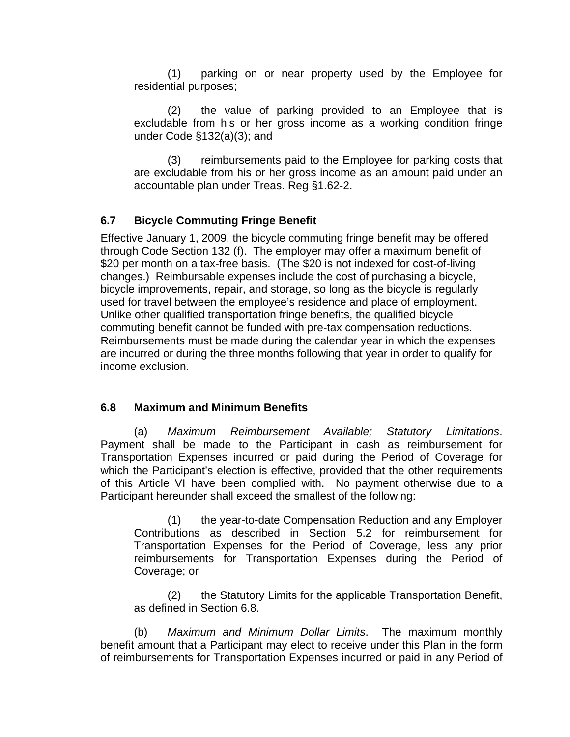(1) parking on or near property used by the Employee for residential purposes;

(2) the value of parking provided to an Employee that is excludable from his or her gross income as a working condition fringe under Code §132(a)(3); and

(3) reimbursements paid to the Employee for parking costs that are excludable from his or her gross income as an amount paid under an accountable plan under Treas. Reg §1.62-2.

## **6.7 Bicycle Commuting Fringe Benefit**

Effective January 1, 2009, the bicycle commuting fringe benefit may be offered through Code Section 132 (f). The employer may offer a maximum benefit of \$20 per month on a tax-free basis. (The \$20 is not indexed for cost-of-living changes.) Reimbursable expenses include the cost of purchasing a bicycle, bicycle improvements, repair, and storage, so long as the bicycle is regularly used for travel between the employee's residence and place of employment. Unlike other qualified transportation fringe benefits, the qualified bicycle commuting benefit cannot be funded with pre-tax compensation reductions. Reimbursements must be made during the calendar year in which the expenses are incurred or during the three months following that year in order to qualify for income exclusion.

#### **6.8 Maximum and Minimum Benefits**

(a) *Maximum Reimbursement Available; Statutory Limitations*. Payment shall be made to the Participant in cash as reimbursement for Transportation Expenses incurred or paid during the Period of Coverage for which the Participant's election is effective, provided that the other requirements of this Article VI have been complied with. No payment otherwise due to a Participant hereunder shall exceed the smallest of the following:

(1) the year-to-date Compensation Reduction and any Employer Contributions as described in Section 5.2 for reimbursement for Transportation Expenses for the Period of Coverage, less any prior reimbursements for Transportation Expenses during the Period of Coverage; or

(2) the Statutory Limits for the applicable Transportation Benefit, as defined in Section 6.8.

(b) *Maximum and Minimum Dollar Limits*. The maximum monthly benefit amount that a Participant may elect to receive under this Plan in the form of reimbursements for Transportation Expenses incurred or paid in any Period of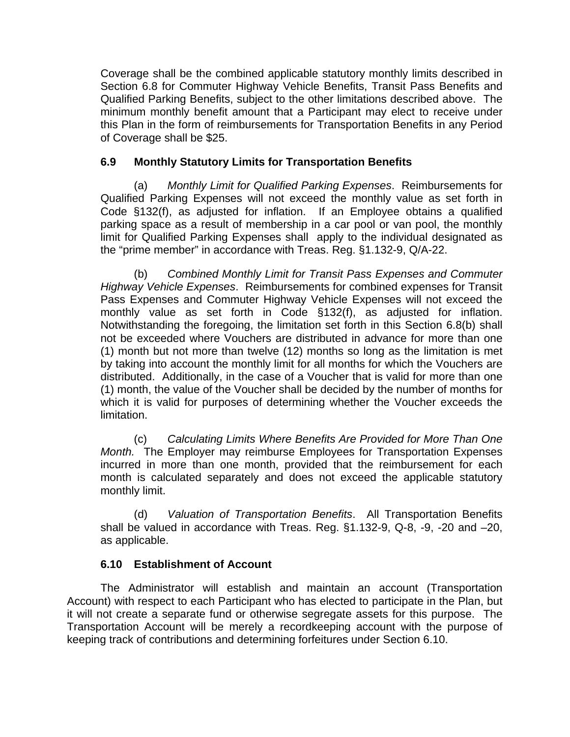Coverage shall be the combined applicable statutory monthly limits described in Section 6.8 for Commuter Highway Vehicle Benefits, Transit Pass Benefits and Qualified Parking Benefits, subject to the other limitations described above. The minimum monthly benefit amount that a Participant may elect to receive under this Plan in the form of reimbursements for Transportation Benefits in any Period of Coverage shall be \$25.

#### **6.9 Monthly Statutory Limits for Transportation Benefits**

(a) *Monthly Limit for Qualified Parking Expenses*. Reimbursements for Qualified Parking Expenses will not exceed the monthly value as set forth in Code §132(f), as adjusted for inflation. If an Employee obtains a qualified parking space as a result of membership in a car pool or van pool, the monthly limit for Qualified Parking Expenses shall apply to the individual designated as the "prime member" in accordance with Treas. Reg. §1.132-9, Q/A-22.

(b) *Combined Monthly Limit for Transit Pass Expenses and Commuter Highway Vehicle Expenses*. Reimbursements for combined expenses for Transit Pass Expenses and Commuter Highway Vehicle Expenses will not exceed the monthly value as set forth in Code §132(f), as adjusted for inflation. Notwithstanding the foregoing, the limitation set forth in this Section 6.8(b) shall not be exceeded where Vouchers are distributed in advance for more than one (1) month but not more than twelve (12) months so long as the limitation is met by taking into account the monthly limit for all months for which the Vouchers are distributed. Additionally, in the case of a Voucher that is valid for more than one (1) month, the value of the Voucher shall be decided by the number of months for which it is valid for purposes of determining whether the Voucher exceeds the limitation.

(c) *Calculating Limits Where Benefits Are Provided for More Than One Month.* The Employer may reimburse Employees for Transportation Expenses incurred in more than one month, provided that the reimbursement for each month is calculated separately and does not exceed the applicable statutory monthly limit.

(d) *Valuation of Transportation Benefits*. All Transportation Benefits shall be valued in accordance with Treas. Reg. §1.132-9, Q-8, -9, -20 and –20, as applicable.

## **6.10 Establishment of Account**

The Administrator will establish and maintain an account (Transportation Account) with respect to each Participant who has elected to participate in the Plan, but it will not create a separate fund or otherwise segregate assets for this purpose. The Transportation Account will be merely a recordkeeping account with the purpose of keeping track of contributions and determining forfeitures under Section 6.10.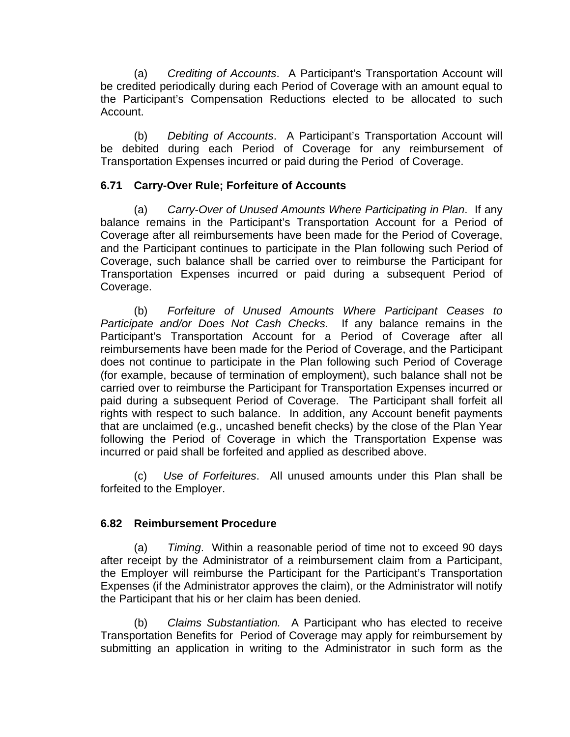(a) *Crediting of Accounts*. A Participant's Transportation Account will be credited periodically during each Period of Coverage with an amount equal to the Participant's Compensation Reductions elected to be allocated to such Account.

(b) *Debiting of Accounts*. A Participant's Transportation Account will be debited during each Period of Coverage for any reimbursement of Transportation Expenses incurred or paid during the Period of Coverage.

## **6.71 Carry-Over Rule; Forfeiture of Accounts**

(a) *Carry-Over of Unused Amounts Where Participating in Plan*. If any balance remains in the Participant's Transportation Account for a Period of Coverage after all reimbursements have been made for the Period of Coverage, and the Participant continues to participate in the Plan following such Period of Coverage, such balance shall be carried over to reimburse the Participant for Transportation Expenses incurred or paid during a subsequent Period of Coverage.

(b) *Forfeiture of Unused Amounts Where Participant Ceases to Participate and/or Does Not Cash Checks*. If any balance remains in the Participant's Transportation Account for a Period of Coverage after all reimbursements have been made for the Period of Coverage, and the Participant does not continue to participate in the Plan following such Period of Coverage (for example, because of termination of employment), such balance shall not be carried over to reimburse the Participant for Transportation Expenses incurred or paid during a subsequent Period of Coverage. The Participant shall forfeit all rights with respect to such balance. In addition, any Account benefit payments that are unclaimed (e.g., uncashed benefit checks) by the close of the Plan Year following the Period of Coverage in which the Transportation Expense was incurred or paid shall be forfeited and applied as described above.

(c) *Use of Forfeitures*. All unused amounts under this Plan shall be forfeited to the Employer.

## **6.82 Reimbursement Procedure**

(a) *Timing*. Within a reasonable period of time not to exceed 90 days after receipt by the Administrator of a reimbursement claim from a Participant, the Employer will reimburse the Participant for the Participant's Transportation Expenses (if the Administrator approves the claim), or the Administrator will notify the Participant that his or her claim has been denied.

(b) *Claims Substantiation.* A Participant who has elected to receive Transportation Benefits for Period of Coverage may apply for reimbursement by submitting an application in writing to the Administrator in such form as the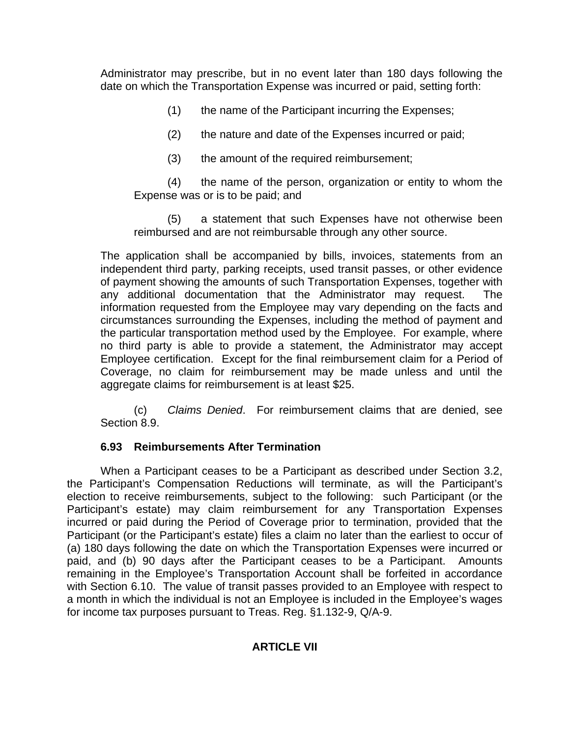Administrator may prescribe, but in no event later than 180 days following the date on which the Transportation Expense was incurred or paid, setting forth:

- (1) the name of the Participant incurring the Expenses;
- (2) the nature and date of the Expenses incurred or paid;
- (3) the amount of the required reimbursement;

(4) the name of the person, organization or entity to whom the Expense was or is to be paid; and

(5) a statement that such Expenses have not otherwise been reimbursed and are not reimbursable through any other source.

The application shall be accompanied by bills, invoices, statements from an independent third party, parking receipts, used transit passes, or other evidence of payment showing the amounts of such Transportation Expenses, together with any additional documentation that the Administrator may request. The information requested from the Employee may vary depending on the facts and circumstances surrounding the Expenses, including the method of payment and the particular transportation method used by the Employee. For example, where no third party is able to provide a statement, the Administrator may accept Employee certification. Except for the final reimbursement claim for a Period of Coverage, no claim for reimbursement may be made unless and until the aggregate claims for reimbursement is at least \$25.

(c) *Claims Denied*. For reimbursement claims that are denied, see Section 8.9.

## **6.93 Reimbursements After Termination**

 When a Participant ceases to be a Participant as described under Section 3.2, the Participant's Compensation Reductions will terminate, as will the Participant's election to receive reimbursements, subject to the following: such Participant (or the Participant's estate) may claim reimbursement for any Transportation Expenses incurred or paid during the Period of Coverage prior to termination, provided that the Participant (or the Participant's estate) files a claim no later than the earliest to occur of (a) 180 days following the date on which the Transportation Expenses were incurred or paid, and (b) 90 days after the Participant ceases to be a Participant. Amounts remaining in the Employee's Transportation Account shall be forfeited in accordance with Section 6.10. The value of transit passes provided to an Employee with respect to a month in which the individual is not an Employee is included in the Employee's wages for income tax purposes pursuant to Treas. Reg. §1.132-9, Q/A-9.

## **ARTICLE VII**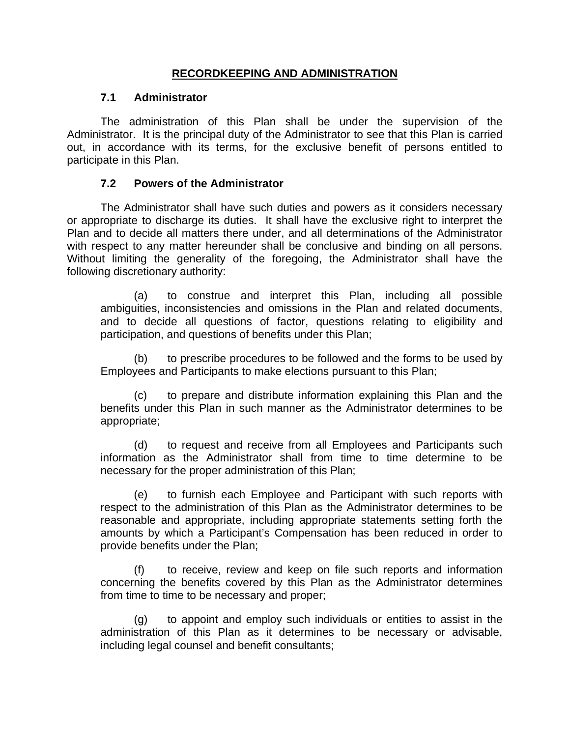#### **RECORDKEEPING AND ADMINISTRATION**

#### **7.1 Administrator**

The administration of this Plan shall be under the supervision of the Administrator. It is the principal duty of the Administrator to see that this Plan is carried out, in accordance with its terms, for the exclusive benefit of persons entitled to participate in this Plan.

#### **7.2 Powers of the Administrator**

The Administrator shall have such duties and powers as it considers necessary or appropriate to discharge its duties. It shall have the exclusive right to interpret the Plan and to decide all matters there under, and all determinations of the Administrator with respect to any matter hereunder shall be conclusive and binding on all persons. Without limiting the generality of the foregoing, the Administrator shall have the following discretionary authority:

(a) to construe and interpret this Plan, including all possible ambiguities, inconsistencies and omissions in the Plan and related documents, and to decide all questions of factor, questions relating to eligibility and participation, and questions of benefits under this Plan;

(b) to prescribe procedures to be followed and the forms to be used by Employees and Participants to make elections pursuant to this Plan;

(c) to prepare and distribute information explaining this Plan and the benefits under this Plan in such manner as the Administrator determines to be appropriate;

(d) to request and receive from all Employees and Participants such information as the Administrator shall from time to time determine to be necessary for the proper administration of this Plan;

(e) to furnish each Employee and Participant with such reports with respect to the administration of this Plan as the Administrator determines to be reasonable and appropriate, including appropriate statements setting forth the amounts by which a Participant's Compensation has been reduced in order to provide benefits under the Plan;

(f) to receive, review and keep on file such reports and information concerning the benefits covered by this Plan as the Administrator determines from time to time to be necessary and proper;

(g) to appoint and employ such individuals or entities to assist in the administration of this Plan as it determines to be necessary or advisable, including legal counsel and benefit consultants;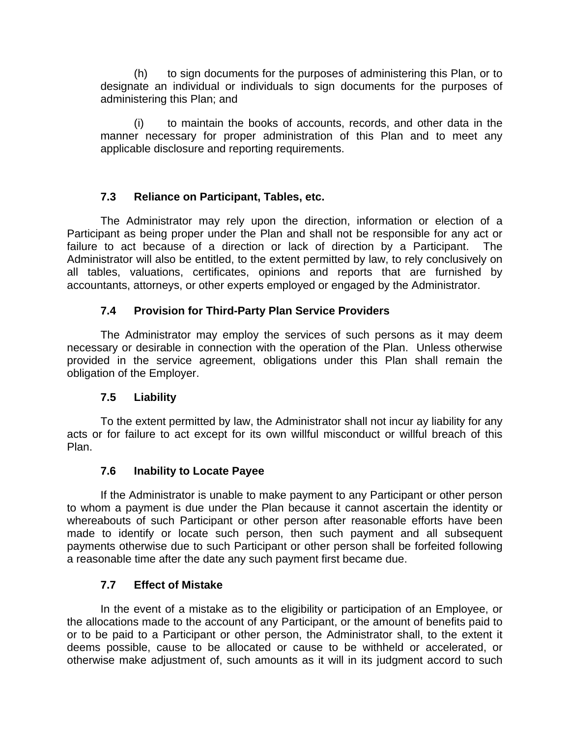(h) to sign documents for the purposes of administering this Plan, or to designate an individual or individuals to sign documents for the purposes of administering this Plan; and

(i) to maintain the books of accounts, records, and other data in the manner necessary for proper administration of this Plan and to meet any applicable disclosure and reporting requirements.

## **7.3 Reliance on Participant, Tables, etc.**

The Administrator may rely upon the direction, information or election of a Participant as being proper under the Plan and shall not be responsible for any act or failure to act because of a direction or lack of direction by a Participant. The Administrator will also be entitled, to the extent permitted by law, to rely conclusively on all tables, valuations, certificates, opinions and reports that are furnished by accountants, attorneys, or other experts employed or engaged by the Administrator.

## **7.4 Provision for Third-Party Plan Service Providers**

The Administrator may employ the services of such persons as it may deem necessary or desirable in connection with the operation of the Plan. Unless otherwise provided in the service agreement, obligations under this Plan shall remain the obligation of the Employer.

## **7.5 Liability**

 To the extent permitted by law, the Administrator shall not incur ay liability for any acts or for failure to act except for its own willful misconduct or willful breach of this Plan.

## **7.6 Inability to Locate Payee**

If the Administrator is unable to make payment to any Participant or other person to whom a payment is due under the Plan because it cannot ascertain the identity or whereabouts of such Participant or other person after reasonable efforts have been made to identify or locate such person, then such payment and all subsequent payments otherwise due to such Participant or other person shall be forfeited following a reasonable time after the date any such payment first became due.

## **7.7 Effect of Mistake**

In the event of a mistake as to the eligibility or participation of an Employee, or the allocations made to the account of any Participant, or the amount of benefits paid to or to be paid to a Participant or other person, the Administrator shall, to the extent it deems possible, cause to be allocated or cause to be withheld or accelerated, or otherwise make adjustment of, such amounts as it will in its judgment accord to such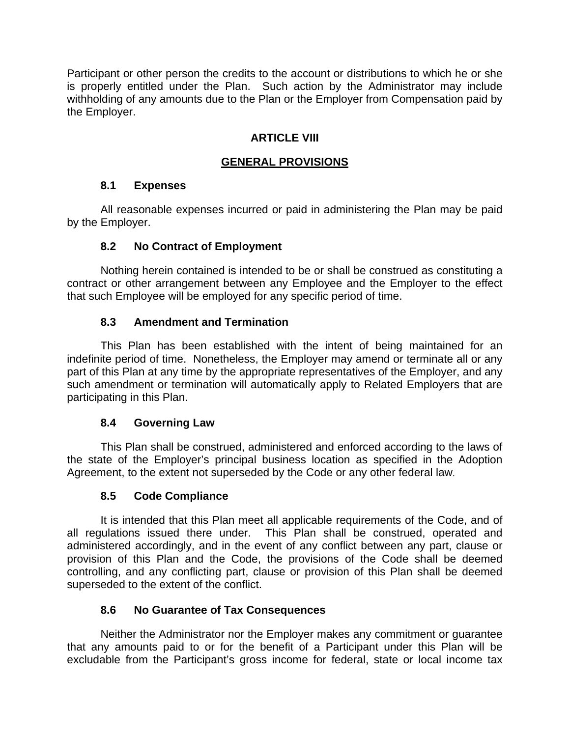Participant or other person the credits to the account or distributions to which he or she is properly entitled under the Plan. Such action by the Administrator may include withholding of any amounts due to the Plan or the Employer from Compensation paid by the Employer.

## **ARTICLE VIII**

## **GENERAL PROVISIONS**

#### **8.1 Expenses**

All reasonable expenses incurred or paid in administering the Plan may be paid by the Employer.

#### **8.2 No Contract of Employment**

Nothing herein contained is intended to be or shall be construed as constituting a contract or other arrangement between any Employee and the Employer to the effect that such Employee will be employed for any specific period of time.

## **8.3 Amendment and Termination**

This Plan has been established with the intent of being maintained for an indefinite period of time. Nonetheless, the Employer may amend or terminate all or any part of this Plan at any time by the appropriate representatives of the Employer, and any such amendment or termination will automatically apply to Related Employers that are participating in this Plan.

## **8.4 Governing Law**

This Plan shall be construed, administered and enforced according to the laws of the state of the Employer's principal business location as specified in the Adoption Agreement, to the extent not superseded by the Code or any other federal law.

## **8.5 Code Compliance**

It is intended that this Plan meet all applicable requirements of the Code, and of all regulations issued there under. This Plan shall be construed, operated and administered accordingly, and in the event of any conflict between any part, clause or provision of this Plan and the Code, the provisions of the Code shall be deemed controlling, and any conflicting part, clause or provision of this Plan shall be deemed superseded to the extent of the conflict.

## **8.6 No Guarantee of Tax Consequences**

Neither the Administrator nor the Employer makes any commitment or guarantee that any amounts paid to or for the benefit of a Participant under this Plan will be excludable from the Participant's gross income for federal, state or local income tax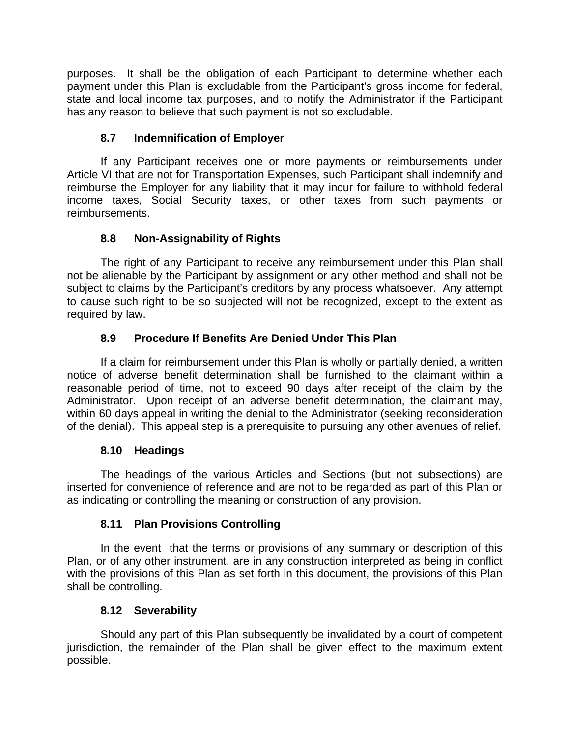purposes. It shall be the obligation of each Participant to determine whether each payment under this Plan is excludable from the Participant's gross income for federal, state and local income tax purposes, and to notify the Administrator if the Participant has any reason to believe that such payment is not so excludable.

## **8.7 Indemnification of Employer**

If any Participant receives one or more payments or reimbursements under Article VI that are not for Transportation Expenses, such Participant shall indemnify and reimburse the Employer for any liability that it may incur for failure to withhold federal income taxes, Social Security taxes, or other taxes from such payments or reimbursements.

## **8.8 Non-Assignability of Rights**

The right of any Participant to receive any reimbursement under this Plan shall not be alienable by the Participant by assignment or any other method and shall not be subject to claims by the Participant's creditors by any process whatsoever. Any attempt to cause such right to be so subjected will not be recognized, except to the extent as required by law.

## **8.9 Procedure If Benefits Are Denied Under This Plan**

 If a claim for reimbursement under this Plan is wholly or partially denied, a written notice of adverse benefit determination shall be furnished to the claimant within a reasonable period of time, not to exceed 90 days after receipt of the claim by the Administrator. Upon receipt of an adverse benefit determination, the claimant may, within 60 days appeal in writing the denial to the Administrator (seeking reconsideration of the denial). This appeal step is a prerequisite to pursuing any other avenues of relief.

## **8.10 Headings**

The headings of the various Articles and Sections (but not subsections) are inserted for convenience of reference and are not to be regarded as part of this Plan or as indicating or controlling the meaning or construction of any provision.

## **8.11 Plan Provisions Controlling**

In the event that the terms or provisions of any summary or description of this Plan, or of any other instrument, are in any construction interpreted as being in conflict with the provisions of this Plan as set forth in this document, the provisions of this Plan shall be controlling.

## **8.12 Severability**

 Should any part of this Plan subsequently be invalidated by a court of competent jurisdiction, the remainder of the Plan shall be given effect to the maximum extent possible.